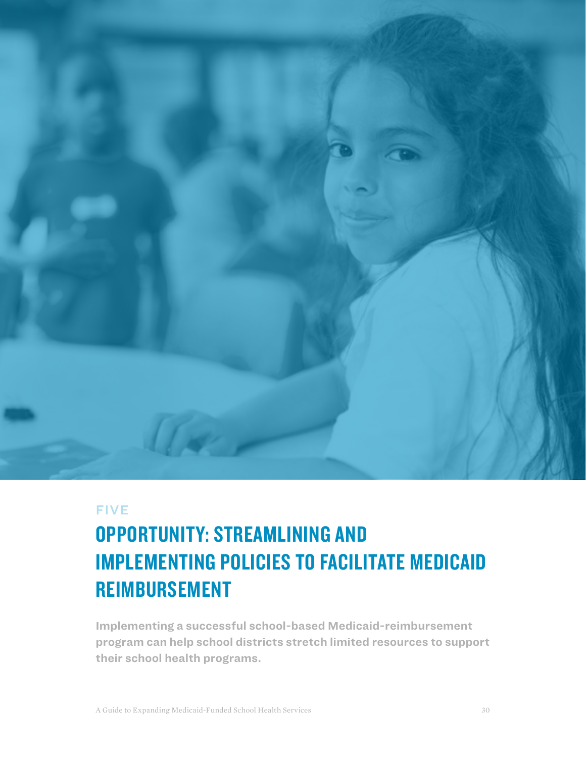

## **FIVE**

# OPPORTUNITY: STREAMLINING AND IMPLEMENTING POLICIES TO FACILITATE MEDICAID REIMBURSEMENT

**Implementing a successful school-based Medicaid-reimbursement program can help school districts stretch limited resources to support their school health programs.**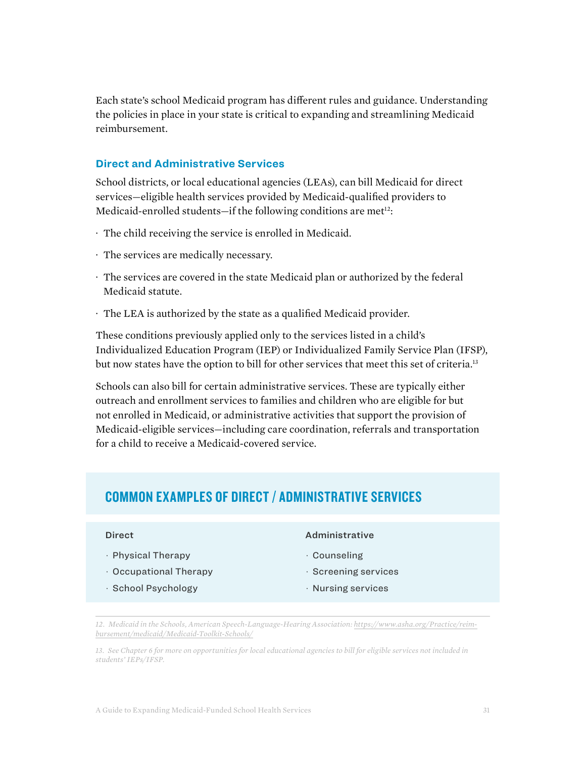Each state's school Medicaid program has different rules and guidance. Understanding the policies in place in your state is critical to expanding and streamlining Medicaid reimbursement.

#### **Direct and Administrative Services**

School districts, or local educational agencies (LEAs), can bill Medicaid for direct services—eligible health services provided by Medicaid-qualified providers to Medicaid-enrolled students—if the following conditions are met<sup>12</sup>:

- · The child receiving the service is enrolled in Medicaid.
- · The services are medically necessary.
- · The services are covered in the state Medicaid plan or authorized by the federal Medicaid statute.
- · The LEA is authorized by the state as a qualified Medicaid provider.

These conditions previously applied only to the services listed in a child's Individualized Education Program (IEP) or Individualized Family Service Plan (IFSP), but now states have the option to bill for other services that meet this set of criteria.<sup>13</sup>

Schools can also bill for certain administrative services. These are typically either outreach and enrollment services to families and children who are eligible for but not enrolled in Medicaid, or administrative activities that support the provision of Medicaid-eligible services—including care coordination, referrals and transportation for a child to receive a Medicaid-covered service.

# COMMON EXAMPLES OF DIRECT / ADMINISTRATIVE SERVICES

#### Direct

- · Physical Therapy
- · Occupational Therapy
- · School Psychology

#### Administrative

- · Counseling
- · Screening services
- · Nursing services

*<sup>12.</sup> Medicaid in the Schools, American Speech-Language-Hearing Association: [https://www.asha.org/Practice/reim](https://www.asha.org/Practice/reimbursement/medicaid/Medicaid-Toolkit-Schools/)[bursement/medicaid/Medicaid-Toolkit-Schools/](https://www.asha.org/Practice/reimbursement/medicaid/Medicaid-Toolkit-Schools/)*

*<sup>13.</sup> See Chapter 6 for more on opportunities for local educational agencies to bill for eligible services not included in students' IEPs/IFSP.*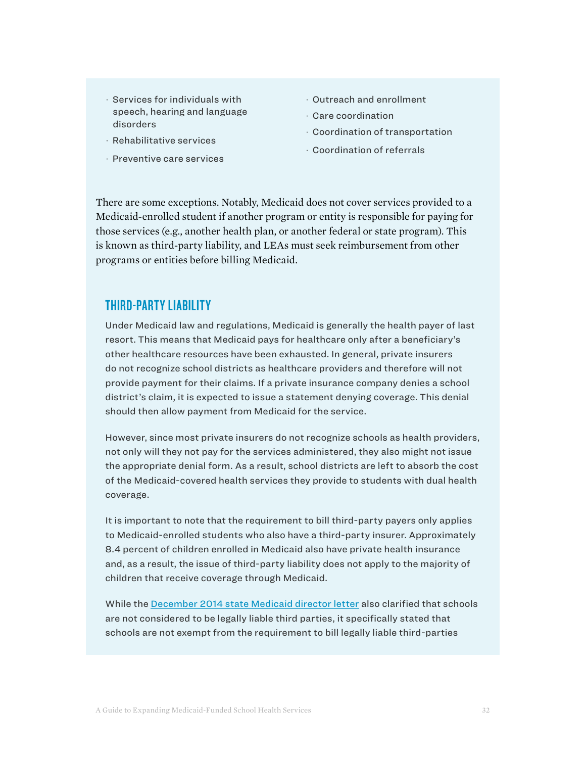- · Services for individuals with speech, hearing and language disorders
- · Rehabilitative services
- · Preventive care services
- · Outreach and enrollment
- · Care coordination
- · Coordination of transportation
- · Coordination of referrals

There are some exceptions. Notably, Medicaid does not cover services provided to a Medicaid-enrolled student if another program or entity is responsible for paying for those services (e.g., another health plan, or another federal or state program). This is known as third-party liability, and LEAs must seek reimbursement from other programs or entities before billing Medicaid.

# THIRD-PARTY LIABILITY

Under Medicaid law and regulations, Medicaid is generally the health payer of last resort. This means that Medicaid pays for healthcare only after a beneficiary's other healthcare resources have been exhausted. In general, private insurers do not recognize school districts as healthcare providers and therefore will not provide payment for their claims. If a private insurance company denies a school district's claim, it is expected to issue a statement denying coverage. This denial should then allow payment from Medicaid for the service.

However, since most private insurers do not recognize schools as health providers, not only will they not pay for the services administered, they also might not issue the appropriate denial form. As a result, school districts are left to absorb the cost of the Medicaid-covered health services they provide to students with dual health coverage.

It is important to note that the requirement to bill third-party payers only applies to Medicaid-enrolled students who also have a third-party insurer. Approximately 8.4 percent of children enrolled in Medicaid also have private health insurance and, as a result, the issue of third-party liability does not apply to the majority of children that receive coverage through Medicaid.

While the [December 2014 state Medicaid director letter](https://www.medicaid.gov/federal-policy-guidance/downloads/smd-medicaid-payment-for-services-provided-without-charge-free-care.pdf) also clarified that schools are not considered to be legally liable third parties, it specifically stated that schools are not exempt from the requirement to bill legally liable third-parties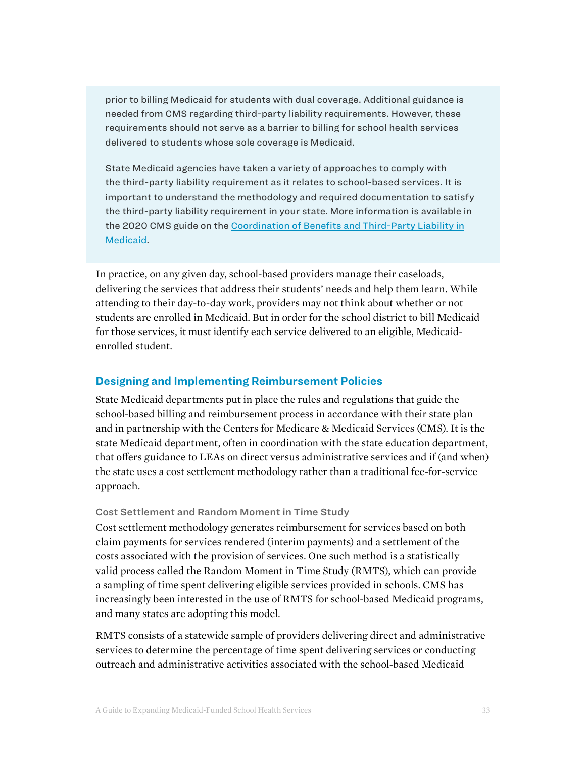prior to billing Medicaid for students with dual coverage. Additional guidance is needed from CMS regarding third-party liability requirements. However, these requirements should not serve as a barrier to billing for school health services delivered to students whose sole coverage is Medicaid.

State Medicaid agencies have taken a variety of approaches to comply with the third-party liability requirement as it relates to school-based services. It is important to understand the methodology and required documentation to satisfy the third-party liability requirement in your state. More information is available in the 2020 [CMS guide on the](https://www.medicaid.gov/medicaid/eligibility/downloads/cob-tpl-handbook.pdf) [Coordination of Benefits and Third-Party Liability in](https://www.medicaid.gov/medicaid/eligibility/downloads/tpl-cob/training-and-handbook.pdf)  Medicaid.

In practice, on any given day, school-based providers manage their caseloads, delivering the services that address their students' needs and help them learn. While attending to their day-to-day work, providers may not think about whether or not students are enrolled in Medicaid. But in order for the school district to bill Medicaid for those services, it must identify each service delivered to an eligible, Medicaidenrolled student.

#### **Designing and Implementing Reimbursement Policies**

State Medicaid departments put in place the rules and regulations that guide the school-based billing and reimbursement process in accordance with their state plan and in partnership with the Centers for Medicare & Medicaid Services (CMS). It is the state Medicaid department, often in coordination with the state education department, that offers guidance to LEAs on direct versus administrative services and if (and when) the state uses a cost settlement methodology rather than a traditional fee-for-service approach.

#### Cost Settlement and Random Moment in Time Study

Cost settlement methodology generates reimbursement for services based on both claim payments for services rendered (interim payments) and a settlement of the costs associated with the provision of services. One such method is a statistically valid process called the Random Moment in Time Study (RMTS), which can provide a sampling of time spent delivering eligible services provided in schools. CMS has increasingly been interested in the use of RMTS for school-based Medicaid programs, and many states are adopting this model.

RMTS consists of a statewide sample of providers delivering direct and administrative services to determine the percentage of time spent delivering services or conducting outreach and administrative activities associated with the school-based Medicaid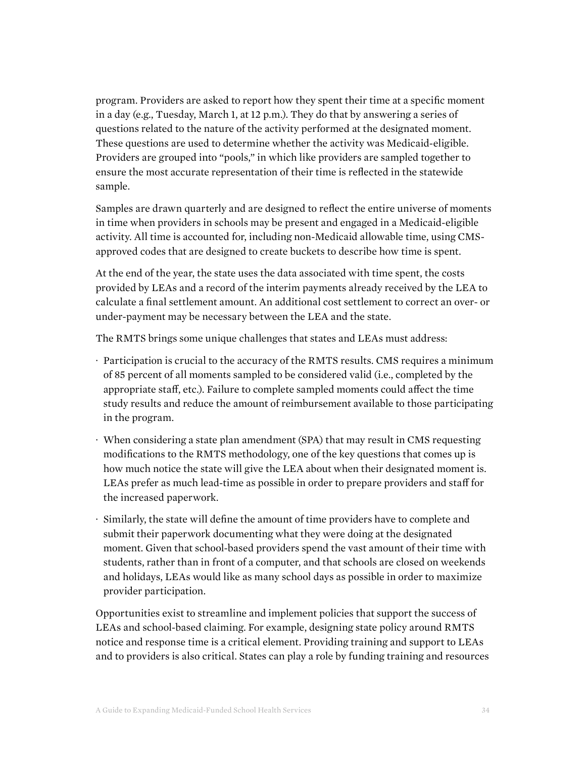program. Providers are asked to report how they spent their time at a specific moment in a day (e.g., Tuesday, March 1, at 12 p.m.). They do that by answering a series of questions related to the nature of the activity performed at the designated moment. These questions are used to determine whether the activity was Medicaid-eligible. Providers are grouped into "pools," in which like providers are sampled together to ensure the most accurate representation of their time is reflected in the statewide sample.

Samples are drawn quarterly and are designed to reflect the entire universe of moments in time when providers in schools may be present and engaged in a Medicaid-eligible activity. All time is accounted for, including non-Medicaid allowable time, using CMSapproved codes that are designed to create buckets to describe how time is spent.

At the end of the year, the state uses the data associated with time spent, the costs provided by LEAs and a record of the interim payments already received by the LEA to calculate a final settlement amount. An additional cost settlement to correct an over- or under-payment may be necessary between the LEA and the state.

The RMTS brings some unique challenges that states and LEAs must address:

- · Participation is crucial to the accuracy of the RMTS results. CMS requires a minimum of 85 percent of all moments sampled to be considered valid (i.e., completed by the appropriate staff, etc.). Failure to complete sampled moments could affect the time study results and reduce the amount of reimbursement available to those participating in the program.
- · When considering a state plan amendment (SPA) that may result in CMS requesting modifications to the RMTS methodology, one of the key questions that comes up is how much notice the state will give the LEA about when their designated moment is. LEAs prefer as much lead-time as possible in order to prepare providers and staff for the increased paperwork.
- · Similarly, the state will define the amount of time providers have to complete and submit their paperwork documenting what they were doing at the designated moment. Given that school-based providers spend the vast amount of their time with students, rather than in front of a computer, and that schools are closed on weekends and holidays, LEAs would like as many school days as possible in order to maximize provider participation.

Opportunities exist to streamline and implement policies that support the success of LEAs and school-based claiming. For example, designing state policy around RMTS notice and response time is a critical element. Providing training and support to LEAs and to providers is also critical. States can play a role by funding training and resources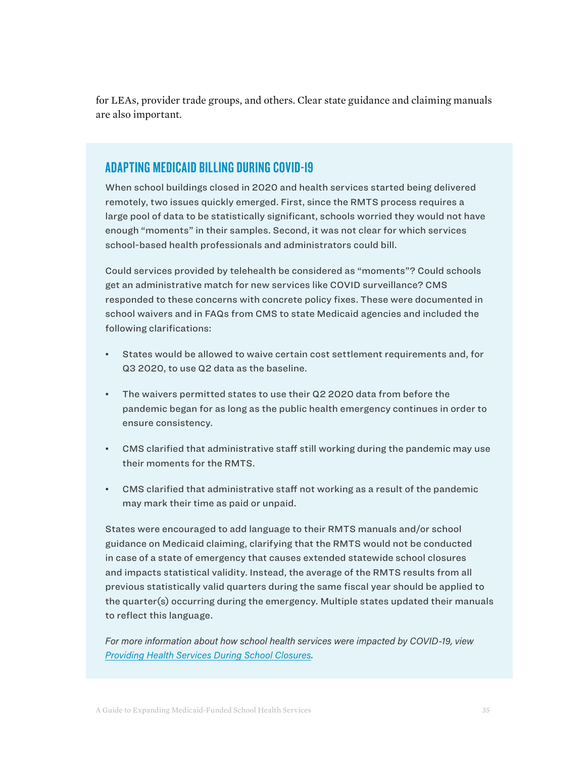for LEAs, provider trade groups, and others. Clear state guidance and claiming manuals are also important.

# ADAPTING MEDICAID BILLING DURING COVID-19

When school buildings closed in 2020 and health services started being delivered remotely, two issues quickly emerged. First, since the RMTS process requires a large pool of data to be statistically significant, schools worried they would not have enough "moments" in their samples. Second, it was not clear for which services school-based health professionals and administrators could bill.

Could services provided by telehealth be considered as "moments"? Could schools get an administrative match for new services like COVID surveillance? CMS responded to these concerns with concrete policy fixes. These were documented in school waivers and in FAQs from CMS to state Medicaid agencies and included the following clarifications:

- States would be allowed to waive certain cost settlement requirements and, for Q3 2020, to use Q2 data as the baseline.
- The waivers permitted states to use their Q2 2020 data from before the pandemic began for as long as the public health emergency continues in order to ensure consistency.
- CMS clarified that administrative staff still working during the pandemic may use their moments for the RMTS.
- CMS clarified that administrative staff not working as a result of the pandemic may mark their time as paid or unpaid.

States were encouraged to add language to their RMTS manuals and/or school guidance on Medicaid claiming, clarifying that the RMTS would not be conducted in case of a state of emergency that causes extended statewide school closures and impacts statistical validity. Instead, the average of the RMTS results from all previous statistically valid quarters during the same fiscal year should be applied to the quarter(s) occurring during the emergency. Multiple states updated their manuals to reflect this language.

For more information about how school health services were impacted by COVID-19, view [Providing Health Services During School Closures](https://healthyschoolscampaign.org/dev/wp-content/uploads/2021/03/Providing-Health-Services-During-School-Closures-March-2021.pdf).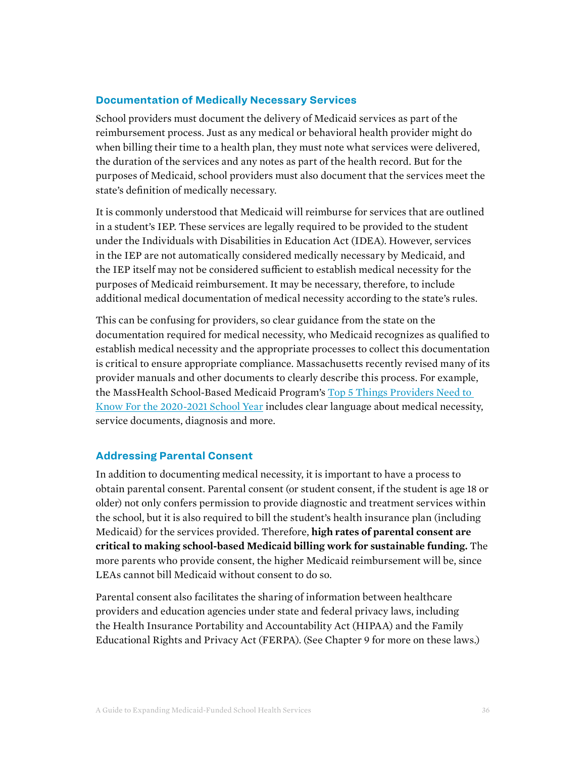## **Documentation of Medically Necessary Services**

School providers must document the delivery of Medicaid services as part of the reimbursement process. Just as any medical or behavioral health provider might do when billing their time to a health plan, they must note what services were delivered, the duration of the services and any notes as part of the health record. But for the purposes of Medicaid, school providers must also document that the services meet the state's definition of medically necessary.

It is commonly understood that Medicaid will reimburse for services that are outlined in a student's IEP. These services are legally required to be provided to the student under the Individuals with Disabilities in Education Act (IDEA). However, services in the IEP are not automatically considered medically necessary by Medicaid, and the IEP itself may not be considered sufficient to establish medical necessity for the purposes of Medicaid reimbursement. It may be necessary, therefore, to include additional medical documentation of medical necessity according to the state's rules.

This can be confusing for providers, so clear guidance from the state on the documentation required for medical necessity, who Medicaid recognizes as qualified to establish medical necessity and the appropriate processes to collect this documentation is critical to ensure appropriate compliance. Massachusetts recently revised many of its provider manuals and other documents to clearly describe this process. For example, the MassHealth School-Based Medicaid Program's [Top 5 Things Providers Need to](https://www.mass.gov/doc/top-5-things-providers-need-to-know-for-the-2020-2021-school-year-0/download)  [Know For the 2020-2021 School Year](https://www.mass.gov/doc/top-5-things-providers-need-to-know-for-the-2020-2021-school-year-0/download) includes clear language about medical necessity, service documents, diagnosis and more.

#### **Addressing Parental Consent**

In addition to documenting medical necessity, it is important to have a process to obtain parental consent. Parental consent (or student consent, if the student is age 18 or older) not only confers permission to provide diagnostic and treatment services within the school, but it is also required to bill the student's health insurance plan (including Medicaid) for the services provided. Therefore, **high rates of parental consent are critical to making school-based Medicaid billing work for sustainable funding.** The more parents who provide consent, the higher Medicaid reimbursement will be, since LEAs cannot bill Medicaid without consent to do so.

Parental consent also facilitates the sharing of information between healthcare providers and education agencies under state and federal privacy laws, including the Health Insurance Portability and Accountability Act (HIPAA) and the Family Educational Rights and Privacy Act (FERPA). (See Chapter 9 for more on these laws.)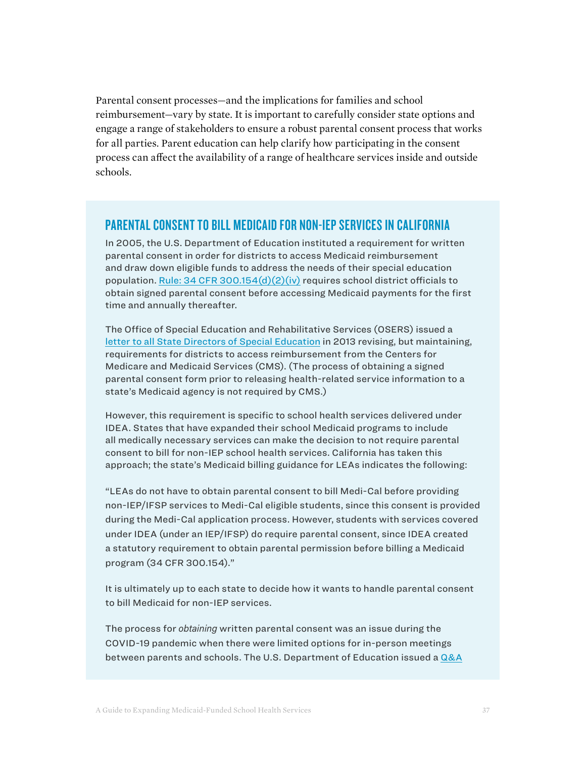Parental consent processes—and the implications for families and school reimbursement—vary by state. It is important to carefully consider state options and engage a range of stakeholders to ensure a robust parental consent process that works for all parties. Parent education can help clarify how participating in the consent process can affect the availability of a range of healthcare services inside and outside schools.

## PARENTAL CONSENT TO BILL MEDICAID FOR NON-IEP SERVICES IN CALIFORNIA

In 2005, the U.S. Department of Education instituted a requirement for written parental consent in order for districts to access Medicaid reimbursement and draw down eligible funds to address the needs of their special education population. Rule: 34 CFR 300.154 $(d)(2)(iv)$  requires school district officials to obtain signed parental consent before accessing Medicaid payments for the first time and annually thereafter.

The Office of Special Education and Rehabilitative Services (OSERS) issued a [letter to all State Directors of Special Education](https://sites.ed.gov/idea/files/idea/policy/speced/guid/idea/memosdcltrs/accmodelwrittennotification-6-11-13.pdf) in 2013 revising, but maintaining, requirements for districts to access reimbursement from the Centers for Medicare and Medicaid Services (CMS). (The process of obtaining a signed parental consent form prior to releasing health-related service information to a state's Medicaid agency is not required by CMS.)

However, this requirement is specific to school health services delivered under IDEA. States that have expanded their school Medicaid programs to include all medically necessary services can make the decision to not require parental consent to bill for non-IEP school health services. California has taken this approach; the state's Medicaid billing guidance for LEAs indicates the following:

"LEAs do not have to obtain parental consent to bill Medi-Cal before providing non-IEP/IFSP services to Medi-Cal eligible students, since this consent is provided during the Medi-Cal application process. However, students with services covered under IDEA (under an IEP/IFSP) do require parental consent, since IDEA created a statutory requirement to obtain parental permission before billing a Medicaid program (34 CFR 300.154)."

It is ultimately up to each state to decide how it wants to handle parental consent to bill Medicaid for non-IEP services.

The process for *obtaining* written parental consent was an issue during the COVID-19 pandemic when there were limited options for in-person meetings between parents and schools. The U.S. Department of Education issued a [Q&A](https://www2.ed.gov/policy/speced/guid/idea/memosdcltrs/qa-procedural-safeguards-idea-part-b-06-30-2020.pdf)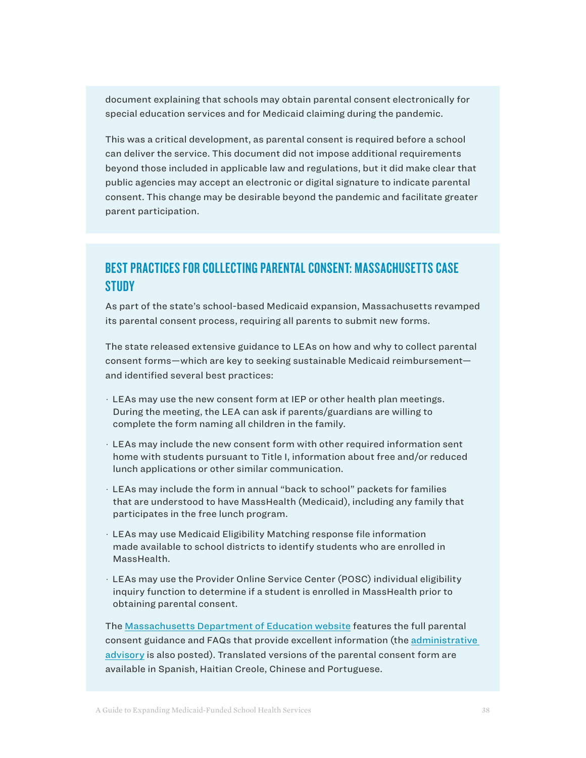document explaining that schools may obtain parental consent electronically for special education services and for Medicaid claiming during the pandemic.

This was a critical development, as parental consent is required before a school can deliver the service. This document did not impose additional requirements beyond those included in applicable law and regulations, but it did make clear that public agencies may accept an electronic or digital signature to indicate parental consent. This change may be desirable beyond the pandemic and facilitate greater parent participation.

# BEST PRACTICES FOR COLLECTING PARENTAL CONSENT: MASSACHUSETTS CASE **STUDY**

As part of the state's school-based Medicaid expansion, Massachusetts revamped its parental consent process, requiring all parents to submit new forms.

The state released extensive guidance to LEAs on how and why to collect parental consent forms—which are key to seeking sustainable Medicaid reimbursement and identified several best practices:

- · LEAs may use the new consent form at IEP or other health plan meetings. During the meeting, the LEA can ask if parents/guardians are willing to complete the form naming all children in the family.
- · LEAs may include the new consent form with other required information sent home with students pursuant to Title I, information about free and/or reduced lunch applications or other similar communication.
- · LEAs may include the form in annual "back to school" packets for families that are understood to have MassHealth (Medicaid), including any family that participates in the free lunch program.
- · LEAs may use Medicaid Eligibility Matching response file information made available to school districts to identify students who are enrolled in MassHealth.
- · LEAs may use the Provider Online Service Center (POSC) individual eligibility inquiry function to determine if a student is enrolled in MassHealth prior to obtaining parental consent.

The [Massachusetts Department of Education website](http://www.doe.mass.edu/sped/advisories/?section=admin) features the full parental consent guidance and FAQs that provide excellent information (the [administrative](http://www.doe.mass.edu/sped/advisories/13_1.html)  [advisory](http://www.doe.mass.edu/sped/advisories/13_1.html) is also posted). Translated versions of the parental consent form are available in Spanish, Haitian Creole, Chinese and Portuguese.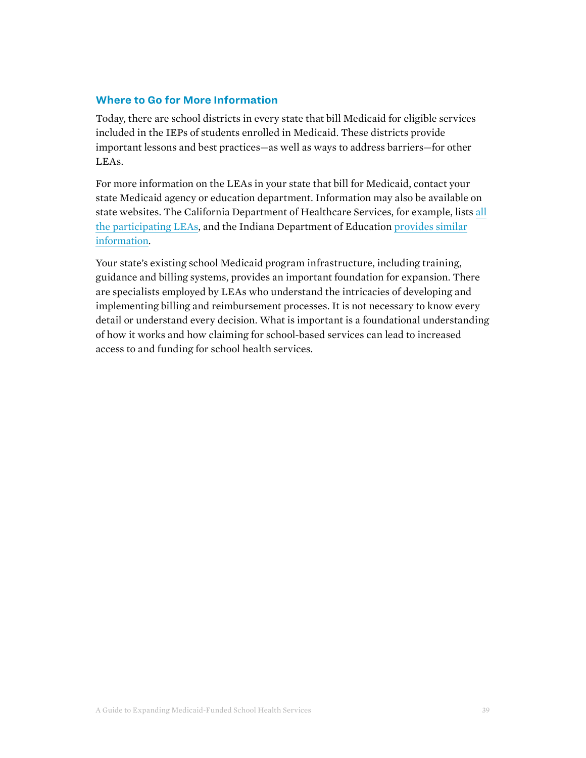## **Where to Go for More Information**

Today, there are school districts in every state that bill Medicaid for eligible services included in the IEPs of students enrolled in Medicaid. These districts provide important lessons and best practices—as well as ways to address barriers—for other LEAs.

For more information on the LEAs in your state that bill for Medicaid, contact your state Medicaid agency or education department. Information may also be available on [state websites. The California Department of Healthcare Services, for example, lists all](https://www.dhcs.ca.gov/provgovpart/pages/lea.aspx)  [the participating LEAs, and the Indiana Department of Education pro](https://www.in.gov/doe/files/2021_06-30-SFY21_FINAL-rev.pdf)[vides similar](https://www.doe.in.gov/sites/default/files/specialed/school-corp-medicaid-report-sfy-2019-final-draft.pdf)  information.

Your state's existing school Medicaid program infrastructure, including training, guidance and billing systems, provides an important foundation for expansion. There are specialists employed by LEAs who understand the intricacies of developing and implementing billing and reimbursement processes. It is not necessary to know every detail or understand every decision. What is important is a foundational understanding of how it works and how claiming for school-based services can lead to increased access to and funding for school health services.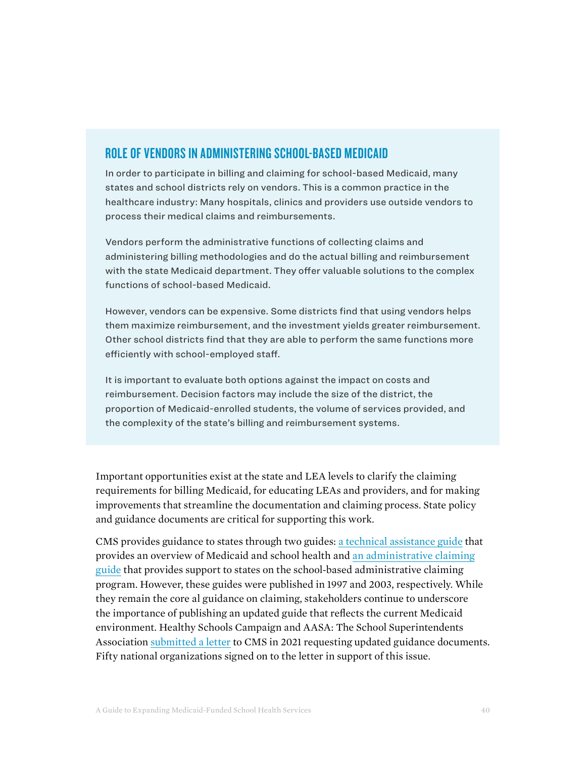# ROLE OF VENDORS IN ADMINISTERING SCHOOL-BASED MEDICAID

In order to participate in billing and claiming for school-based Medicaid, many states and school districts rely on vendors. This is a common practice in the healthcare industry: Many hospitals, clinics and providers use outside vendors to process their medical claims and reimbursements.

Vendors perform the administrative functions of collecting claims and administering billing methodologies and do the actual billing and reimbursement with the state Medicaid department. They offer valuable solutions to the complex functions of school-based Medicaid.

However, vendors can be expensive. Some districts find that using vendors helps them maximize reimbursement, and the investment yields greater reimbursement. Other school districts find that they are able to perform the same functions more efficiently with school-employed staff.

It is important to evaluate both options against the impact on costs and reimbursement. Decision factors may include the size of the district, the proportion of Medicaid-enrolled students, the volume of services provided, and the complexity of the state's billing and reimbursement systems.

Important opportunities exist at the state and LEA levels to clarify the claiming requirements for billing Medicaid, for educating LEAs and providers, and for making improvements that streamline the documentation and claiming process. State policy and guidance documents are critical for supporting this work.

CMS provides guidance to states through two guides: [a technical assistance guide](https://www.hhs.gov/guidance/document/medicaid-and-school-health-technical-assistance-guide) that provides an overview of Medicaid and school health and [an administrative claiming](https://www.cms.gov/Research-Statistics-Data-and-Systems/Computer-Data-and-Systems/MedicaidBudgetExpendSystem/Downloads/Schoolhealthsvcs.pdf) [guide](https://www.cms.gov/Research-Statistics-Data-and-Systems/Computer-Data-and-Systems/MedicaidBudgetExpendSystem/Downloads/Schoolhealthsvcs.pdf) that provides support to states on the school-based administrative claiming program. However, these guides were published in 1997 and 2003, respectively. While they remain the core al guidance on claiming, stakeholders continue to underscore the importance of publishing an updated guide that reflects the current Medicaid environment. Healthy Schools Campaign and AASA: The School Superintendents Association [submitted a letter](https://drive.google.com/file/d/1FzGpf6-R7jr1iHVwydYFNNvpJ-sSFdur/view?usp=sharing) to CMS in 2021 requesting updated guidance documents. Fifty national organizations signed on to the letter in support of this issue.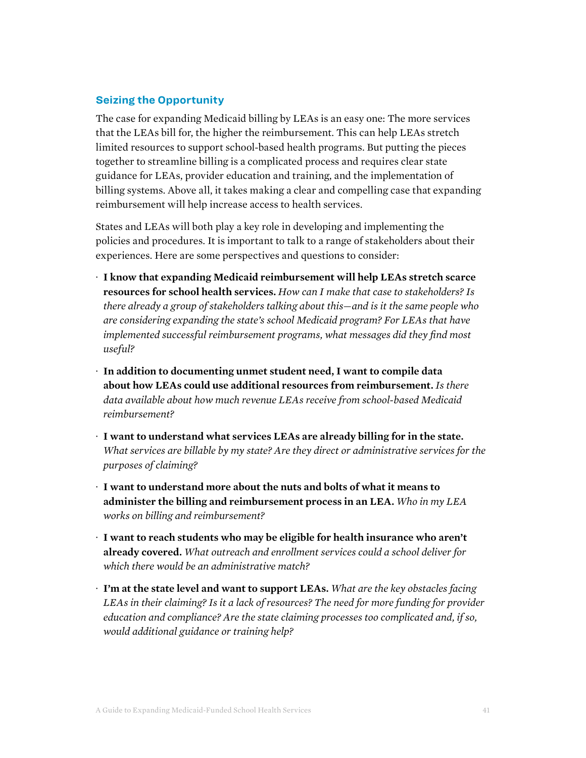## **Seizing the Opportunity**

The case for expanding Medicaid billing by LEAs is an easy one: The more services that the LEAs bill for, the higher the reimbursement. This can help LEAs stretch limited resources to support school-based health programs. But putting the pieces together to streamline billing is a complicated process and requires clear state guidance for LEAs, provider education and training, and the implementation of billing systems. Above all, it takes making a clear and compelling case that expanding reimbursement will help increase access to health services.

States and LEAs will both play a key role in developing and implementing the policies and procedures. It is important to talk to a range of stakeholders about their experiences. Here are some perspectives and questions to consider:

- · **I know that expanding Medicaid reimbursement will help LEAs stretch scarce resources for school health services.** *How can I make that case to stakeholders? Is there already a group of stakeholders talking about this—and is it the same people who are considering expanding the state's school Medicaid program? For LEAs that have implemented successful reimbursement programs, what messages did they find most useful?*
- · **In addition to documenting unmet student need, I want to compile data about how LEAs could use additional resources from reimbursement.** *Is there data available about how much revenue LEAs receive from school-based Medicaid reimbursement?*
- · **I want to understand what services LEAs are already billing for in the state.**  *What services are billable by my state? Are they direct or administrative services for the purposes of claiming?*
- · **I want to understand more about the nuts and bolts of what it means to administer the billing and reimbursement process in an LEA.** *Who in my LEA works on billing and reimbursement?*
- · **I want to reach students who may be eligible for health insurance who aren't already covered.** *What outreach and enrollment services could a school deliver for which there would be an administrative match?*
- · **I'm at the state level and want to support LEAs.** *What are the key obstacles facing LEAs in their claiming? Is it a lack of resources? The need for more funding for provider education and compliance? Are the state claiming processes too complicated and, if so, would additional guidance or training help?*